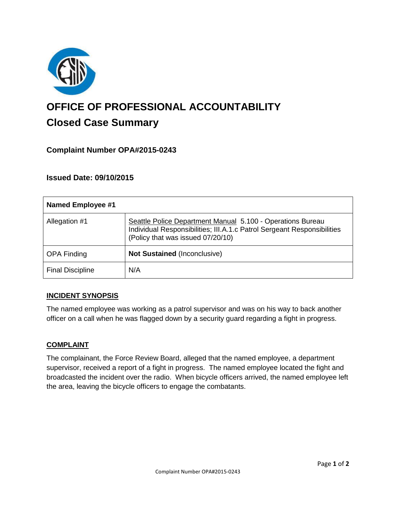

# **OFFICE OF PROFESSIONAL ACCOUNTABILITY Closed Case Summary**

# **Complaint Number OPA#2015-0243**

# **Issued Date: 09/10/2015**

| <b>Named Employee #1</b> |                                                                                                                                                                            |
|--------------------------|----------------------------------------------------------------------------------------------------------------------------------------------------------------------------|
| Allegation #1            | Seattle Police Department Manual 5.100 - Operations Bureau<br>Individual Responsibilities; III.A.1.c Patrol Sergeant Responsibilities<br>(Policy that was issued 07/20/10) |
| <b>OPA Finding</b>       | <b>Not Sustained (Inconclusive)</b>                                                                                                                                        |
| <b>Final Discipline</b>  | N/A                                                                                                                                                                        |

### **INCIDENT SYNOPSIS**

The named employee was working as a patrol supervisor and was on his way to back another officer on a call when he was flagged down by a security guard regarding a fight in progress.

#### **COMPLAINT**

The complainant, the Force Review Board, alleged that the named employee, a department supervisor, received a report of a fight in progress. The named employee located the fight and broadcasted the incident over the radio. When bicycle officers arrived, the named employee left the area, leaving the bicycle officers to engage the combatants.